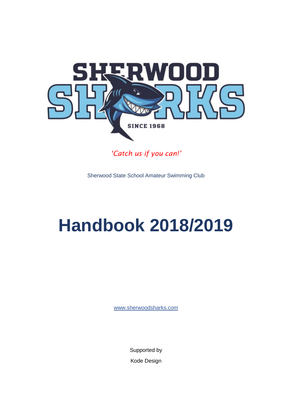

*'Catch us if you can!'*

Sherwood State School Amateur Swimming Club

# **Handbook 2018/2019**

[www.sherwoodsharks.com](http://www.sherwoodsharks.com/)

Supported by Kode Design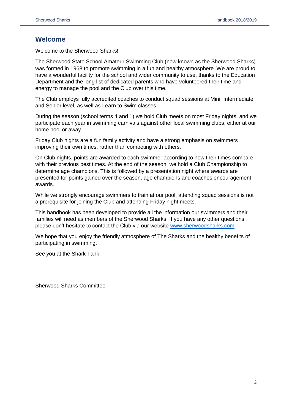# **Welcome**

Welcome to the Sherwood Sharks!

The Sherwood State School Amateur Swimming Club (now known as the Sherwood Sharks) was formed in 1968 to promote swimming in a fun and healthy atmosphere. We are proud to have a wonderful facility for the school and wider community to use, thanks to the Education Department and the long list of dedicated parents who have volunteered their time and energy to manage the pool and the Club over this time.

The Club employs fully accredited coaches to conduct squad sessions at Mini, Intermediate and Senior level, as well as Learn to Swim classes.

During the season (school terms 4 and 1) we hold Club meets on most Friday nights, and we participate each year in swimming carnivals against other local swimming clubs, either at our home pool or away.

Friday Club nights are a fun family activity and have a strong emphasis on swimmers improving their own times, rather than competing with others.

On Club nights, points are awarded to each swimmer according to how their times compare with their previous best times. At the end of the season, we hold a Club Championship to determine age champions. This is followed by a presentation night where awards are presented for points gained over the season, age champions and coaches encouragement awards.

While we strongly encourage swimmers to train at our pool, attending squad sessions is not a prerequisite for joining the Club and attending Friday night meets.

This handbook has been developed to provide all the information our swimmers and their families will need as members of the Sherwood Sharks. If you have any other questions, please don't hesitate to contact the Club via our website [www.sherwoodsharks.com](http://www.sherwoodsharks.com/)

We hope that you enjoy the friendly atmosphere of The Sharks and the healthy benefits of participating in swimming.

See you at the Shark Tank!

Sherwood Sharks Committee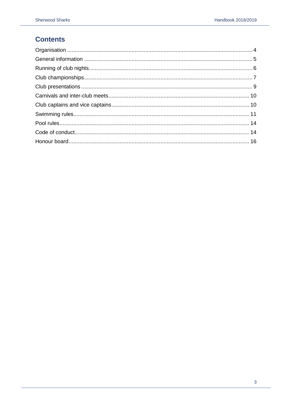# **Contents**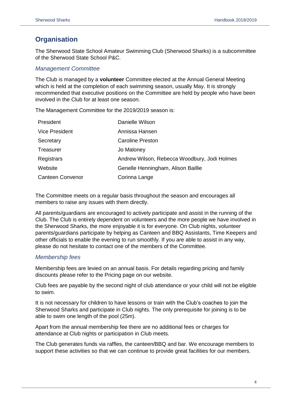# <span id="page-3-0"></span>**Organisation**

The Sherwood State School Amateur Swimming Club (Sherwood Sharks) is a subcommittee of the Sherwood State School P&C.

## *Management Committee*

The Club is managed by a **volunteer** Committee elected at the Annual General Meeting which is held at the completion of each swimming season, usually May. It is strongly recommended that executive positions on the Committee are held by people who have been involved in the Club for at least one season.

The Management Committee for the 2019/2019 season is:

| President               | Danielle Wilson                              |
|-------------------------|----------------------------------------------|
| <b>Vice President</b>   | Annissa Hansen                               |
| Secretary               | Caroline Preston                             |
| Treasurer               | Jo Maloney                                   |
| Registrars              | Andrew Wilson, Rebecca Woodbury, Jodi Holmes |
| Website                 | Genelle Henningham, Alison Baillie           |
| <b>Canteen Convenor</b> | Corinna Lange                                |

The Committee meets on a regular basis throughout the season and encourages all members to raise any issues with them directly.

All parents/guardians are encouraged to actively participate and assist in the running of the Club. The Club is entirely dependent on volunteers and the more people we have involved in the Sherwood Sharks, the more enjoyable it is for everyone. On Club nights, volunteer parents/guardians participate by helping as Canteen and BBQ Assistants, Time Keepers and other officials to enable the evening to run smoothly. If you are able to assist in any way, please do not hesitate to contact one of the members of the Committee.

# *Membership fees*

Membership fees are levied on an annual basis. For details regarding pricing and family discounts please refer to the Pricing page on our website.

Club fees are payable by the second night of club attendance or your child will not be eligible to swim.

It is not necessary for children to have lessons or train with the Club's coaches to join the Sherwood Sharks and participate in Club nights. The only prerequisite for joining is to be able to swim one length of the pool (25m).

Apart from the annual membership fee there are no additional fees or charges for attendance at Club nights or participation in Club meets.

The Club generates funds via raffles, the canteen/BBQ and bar. We encourage members to support these activities so that we can continue to provide great facilities for our members.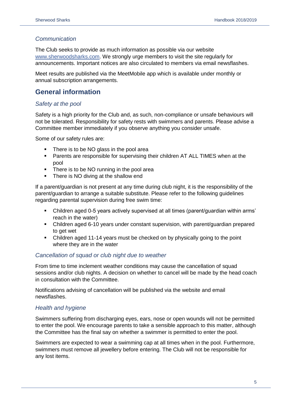# *Communication*

The Club seeks to provide as much information as possible via our website [www.sherwoodsharks.com.](http://www.sherwoodsharks.com/) We strongly urge members to visit the site regularly for announcements. Important notices are also circulated to members via email newsflashes.

Meet results are published via the MeetMobile app which is available under monthly or annual subscription arrangements.

# <span id="page-4-0"></span>**General information**

# *Safety at the pool*

Safety is a high priority for the Club and, as such, non-compliance or unsafe behaviours will not be tolerated. Responsibility for safety rests with swimmers and parents. Please advise a Committee member immediately if you observe anything you consider unsafe.

Some of our safety rules are:

- There is to be NO glass in the pool area
- Parents are responsible for supervising their children AT ALL TIMES when at the pool
- **•** There is to be NO running in the pool area
- There is NO diving at the shallow end

If a parent/guardian is not present at any time during club night, it is the responsibility of the parent/guardian to arrange a suitable substitute. Please refer to the following guidelines regarding parental supervision during free swim time:

- Children aged 0-5 years actively supervised at all times (parent/guardian within arms' reach in the water)
- Children aged 6-10 years under constant supervision, with parent/guardian prepared to get wet
- Children aged 11-14 years must be checked on by physically going to the point where they are in the water

# *Cancellation of squad or club night due to weather*

From time to time inclement weather conditions may cause the cancellation of squad sessions and/or club nights. A decision on whether to cancel will be made by the head coach in consultation with the Committee.

Notifications advising of cancellation will be published via the website and email newsflashes.

# *Health and hygiene*

Swimmers suffering from discharging eyes, ears, nose or open wounds will not be permitted to enter the pool. We encourage parents to take a sensible approach to this matter, although the Committee has the final say on whether a swimmer is permitted to enter the pool.

<span id="page-4-1"></span>Swimmers are expected to wear a swimming cap at all times when in the pool. Furthermore, swimmers must remove all jewellery before entering. The Club will not be responsible for any lost items.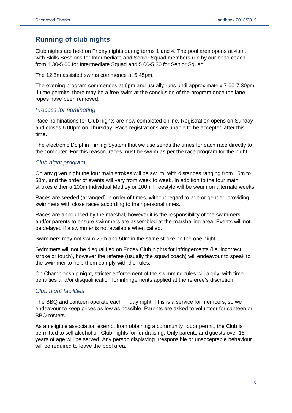# **Running of club nights**

Club nights are held on Friday nights during terms 1 and 4. The pool area opens at 4pm, with Skills Sessions for Intermediate and Senior Squad members run by our head coach from 4.30-5.00 for Intermediate Squad and 5.00-5.30 for Senior Squad.

The 12.5m assisted swims commence at 5.45pm.

The evening program commences at 6pm and usually runs until approximately 7.00-7.30pm. If time permits, there may be a free swim at the conclusion of the program once the lane ropes have been removed.

#### *Process for nominating*

Race nominations for Club nights are now completed online. Registration opens on Sunday and closes 6.00pm on Thursday. Race registrations are unable to be accepted after this time.

The electronic Dolphin Timing System that we use sends the times for each race directly to the computer. For this reason, races must be swum as per the race program for the night.

## *Club night program*

On any given night the four main strokes will be swum, with distances ranging from 15m to 50m, and the order of events will vary from week to week. In addition to the four main strokes either a 100m Individual Medley or 100m Freestyle will be swum on alternate weeks.

Races are seeded (arranged) in order of times, without regard to age or gender, providing swimmers with close races according to their personal times.

Races are announced by the marshal, however it is the responsibility of the swimmers and/or parents to ensure swimmers are assembled at the marshalling area. Events will not be delayed if a swimmer is not available when called.

Swimmers may not swim 25m and 50m in the same stroke on the one night.

Swimmers will not be disqualified on Friday Club nights for infringements (i.e. incorrect stroke or touch), however the referee (usually the squad coach) will endeavour to speak to the swimmer to help them comply with the rules.

On Championship night, stricter enforcement of the swimming rules will apply, with time penalties and/or disqualification for infringements applied at the referee's discretion.

#### *Club night facilities*

The BBQ and canteen operate each Friday night. This is a service for members, so we endeavour to keep prices as low as possible. Parents are asked to volunteer for canteen or BBQ rosters.

<span id="page-5-0"></span>As an eligible association exempt from obtaining a community liquor permit, the Club is permitted to sell alcohol on Club nights for fundraising. Only parents and guests over 18 years of age will be served. Any person displaying irresponsible or unacceptable behaviour will be required to leave the pool area.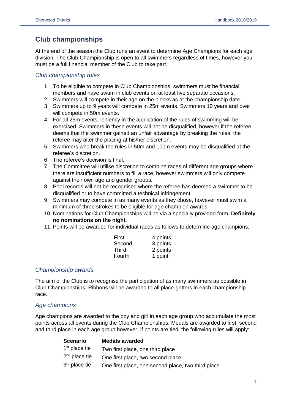# **Club championships**

At the end of the season the Club runs an event to determine Age Champions for each age division. The Club Championship is open to all swimmers regardless of times, however you must be a full financial member of the Club to take part.

# *Club championship rules*

- 1. To be eligible to compete in Club Championships, swimmers must be financial members and have swum in club events on at least five separate occasions.
- 2. Swimmers will compete in their age on the blocks as at the championship date.
- 3. Swimmers up to 9 years will compete in 25m events. Swimmers 10 years and over will compete in 50m events.
- 4. For all 25m events, leniency in the application of the rules of swimming will be exercised. Swimmers in these events will not be disqualified, however if the referee deems that the swimmer gained an unfair advantage by breaking the rules, the referee may alter the placing at his/her discretion.
- 5. Swimmers who break the rules in 50m and 100m events may be disqualified at the referee's discretion.
- 6. The referee's decision is final.
- 7. The Committee will utilise discretion to combine races of different age groups where there are insufficient numbers to fill a race, however swimmers will only compete against their own age and gender groups.
- 8. Pool records will not be recognised where the referee has deemed a swimmer to be disqualified or to have committed a technical infringement.
- 9. Swimmers may compete in as many events as they chose, however must swim a minimum of three strokes to be eligible for age champion awards.
- 10. Nominations for Club Championships will be via a specially provided form. **Definitely no nominations on the night**.
- 11. Points will be awarded for individual races as follows to determine age champions:

| First        | 4 points |
|--------------|----------|
| Second       | 3 points |
| <b>Third</b> | 2 points |
| Fourth       | 1 point  |

# *Championship awards*

The aim of the Club is to recognise the participation of as many swimmers as possible in Club Championships. Ribbons will be awarded to all place-getters in each championship race.

# *Age champions*

Age champions are awarded to the boy and girl in each age group who accumulate the most points across all events during the Club Championships. Medals are awarded to first, second and third place in each age group however, if points are tied, the following rules will apply:

| <b>Scenario</b> | <b>Medals awarded</b>                              |
|-----------------|----------------------------------------------------|
| $1st$ place tie | Two first place, one third place                   |
| $2nd$ place tie | One first place, two second place                  |
| $3rd$ place tie | One first place, one second place, two third place |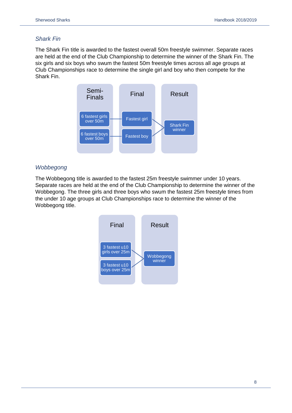# *Shark Fin*

The Shark Fin title is awarded to the fastest overall 50m freestyle swimmer. Separate races are held at the end of the Club Championship to determine the winner of the Shark Fin. The six girls and six boys who swum the fastest 50m freestyle times across all age groups at Club Championships race to determine the single girl and boy who then compete for the Shark Fin.



## *Wobbegong*

The Wobbegong title is awarded to the fastest 25m freestyle swimmer under 10 years. Separate races are held at the end of the Club Championship to determine the winner of the Wobbegong. The three girls and three boys who swum the fastest 25m freestyle times from the under 10 age groups at Club Championships race to determine the winner of the Wobbegong title.

<span id="page-7-0"></span>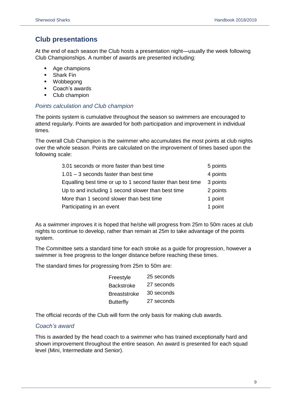# **Club presentations**

At the end of each season the Club hosts a presentation night—usually the week following Club Championships. A number of awards are presented including:

- Age champions
- Shark Fin
- Wobbegong
- Coach's awards
- Club champion

#### *Points calculation and Club champion*

The points system is cumulative throughout the season so swimmers are encouraged to attend regularly. Points are awarded for both participation and improvement in individual times.

The overall Club Champion is the swimmer who accumulates the most points at club nights over the whole season. Points are calculated on the improvement of times based upon the following scale:

| 3.01 seconds or more faster than best time                  | 5 points |
|-------------------------------------------------------------|----------|
| $1.01 - 3$ seconds faster than best time                    | 4 points |
| Equalling best time or up to 1 second faster than best time | 3 points |
| Up to and including 1 second slower than best time          | 2 points |
| More than 1 second slower than best time                    | 1 point  |
| Participating in an event                                   | 1 point  |

As a swimmer improves it is hoped that he/she will progress from 25m to 50m races at club nights to continue to develop, rather than remain at 25m to take advantage of the points system.

The Committee sets a standard time for each stroke as a guide for progression, however a swimmer is free progress to the longer distance before reaching these times.

The standard times for progressing from 25m to 50m are:

| Freestyle           | 25 seconds |
|---------------------|------------|
| <b>Backstroke</b>   | 27 seconds |
| <b>Breaststroke</b> | 30 seconds |
| <b>Butterfly</b>    | 27 seconds |

The official records of the Club will form the only basis for making club awards.

## *Coach's award*

<span id="page-8-0"></span>This is awarded by the head coach to a swimmer who has trained exceptionally hard and shown improvement throughout the entire season. An award is presented for each squad level (Mini, Intermediate and Senior).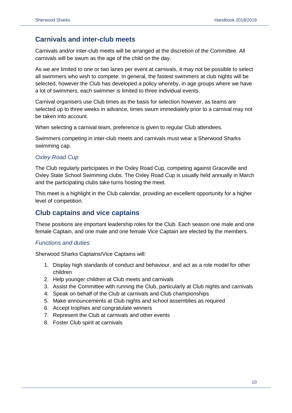# **Carnivals and inter-club meets**

Carnivals and/or inter-club meets will be arranged at the discretion of the Committee. All carnivals will be swum as the age of the child on the day.

As we are limited to one or two lanes per event at carnivals, it may not be possible to select all swimmers who wish to compete. In general, the fastest swimmers at club nights will be selected, however the Club has developed a policy whereby, in age groups where we have a lot of swimmers, each swimmer is limited to three individual events.

Carnival organisers use Club times as the basis for selection however, as teams are selected up to three weeks in advance, times swum immediately prior to a carnival may not be taken into account.

When selecting a carnival team, preference is given to regular Club attendees.

Swimmers competing in inter-club meets and carnivals must wear a Sherwood Sharks swimming cap.

# *Oxley Road Cup*

The Club regularly participates in the Oxley Road Cup, competing against Graceville and Oxley State School Swimming clubs. The Oxley Road Cup is usually held annually in March and the participating clubs take turns hosting the meet.

This meet is a highlight in the Club calendar, providing an excellent opportunity for a higher level of competition.

# <span id="page-9-0"></span>**Club captains and vice captains**

These positions are important leadership roles for the Club. Each season one male and one female Captain, and one male and one female Vice Captain are elected by the members.

# *Functions and duties*

Sherwood Sharks Captains/Vice Captains will:

- 1. Display high standards of conduct and behaviour, and act as a role model for other children
- 2. Help younger children at Club meets and carnivals
- 3. Assist the Committee with running the Club, particularly at Club nights and carnivals
- 4. Speak on behalf of the Club at carnivals and Club championships
- 5. Make announcements at Club nights and school assemblies as required
- 6. Accept trophies and congratulate winners
- 7. Represent the Club at carnivals and other events
- 8. Foster Club spirit at carnivals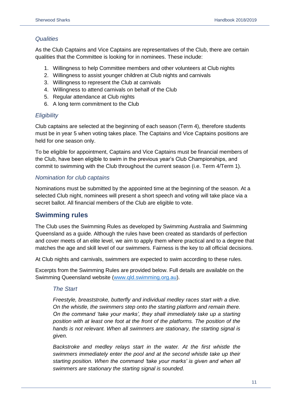## *Qualities*

As the Club Captains and Vice Captains are representatives of the Club, there are certain qualities that the Committee is looking for in nominees. These include:

- 1. Willingness to help Committee members and other volunteers at Club nights
- 2. Willingness to assist younger children at Club nights and carnivals
- 3. Willingness to represent the Club at carnivals
- 4. Willingness to attend carnivals on behalf of the Club
- 5. Regular attendance at Club nights
- 6. A long term commitment to the Club

#### *Eligibility*

Club captains are selected at the beginning of each season (Term 4), therefore students must be in year 5 when voting takes place. The Captains and Vice Captains positions are held for one season only.

To be eligible for appointment, Captains and Vice Captains must be financial members of the Club, have been eligible to swim in the previous year's Club Championships, and commit to swimming with the Club throughout the current season (i.e. Term 4/Term 1).

## *Nomination for club captains*

Nominations must be submitted by the appointed time at the beginning of the season. At a selected Club night, nominees will present a short speech and voting will take place via a secret ballot. All financial members of the Club are eligible to vote.

# <span id="page-10-0"></span>**Swimming rules**

The Club uses the Swimming Rules as developed by Swimming Australia and Swimming Queensland as a guide. Although the rules have been created as standards of perfection and cover meets of an elite level, we aim to apply them where practical and to a degree that matches the age and skill level of our swimmers. Fairness is the key to all official decisions.

At Club nights and carnivals, swimmers are expected to swim according to these rules.

Excerpts from the Swimming Rules are provided below. Full details are available on the Swimming Queensland website [\(www.qld.swimming.org.au\)](http://www.qld.swimming.org.au/).

#### *The Start*

*Freestyle, breaststroke, butterfly and individual medley races start with a dive. On the whistle, the swimmers step onto the starting platform and remain there. On the command 'take your marks', they shall immediately take up a starting position with at least one foot at the front of the platforms. The position of the hands is not relevant. When all swimmers are stationary, the starting signal is given.*

*Backstroke and medley relays start in the water. At the first whistle the swimmers immediately enter the pool and at the second whistle take up their starting position. When the command 'take your marks' is given and when all swimmers are stationary the starting signal is sounded.*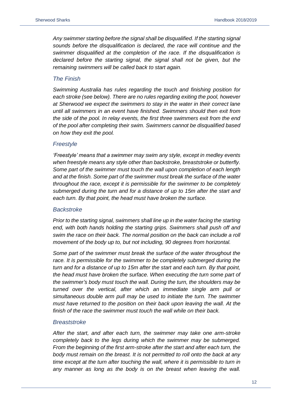*Any swimmer starting before the signal shall be disqualified. If the starting signal sounds before the disqualification is declared, the race will continue and the swimmer disqualified at the completion of the race. If the disqualification is declared before the starting signal, the signal shall not be given, but the remaining swimmers will be called back to start again.*

#### *The Finish*

*Swimming Australia has rules regarding the touch and finishing position for each stroke (see below). There are no rules regarding exiting the pool, however at Sherwood we expect the swimmers to stay in the water in their correct lane until all swimmers in an event have finished. Swimmers should then exit from the side of the pool. In relay events, the first three swimmers exit from the end of the pool after completing their swim. Swimmers cannot be disqualified based on how they exit the pool.*

#### *Freestyle*

*'Freestyle' means that a swimmer may swim any style, except in medley events when freestyle means any style other than backstroke, breaststroke or butterfly. Some part of the swimmer must touch the wall upon completion of each length and at the finish. Some part of the swimmer must break the surface of the water throughout the race, except it is permissible for the swimmer to be completely submerged during the turn and for a distance of up to 15m after the start and each turn. By that point, the head must have broken the surface.*

#### *Backstroke*

*Prior to the starting signal, swimmers shall line up in the water facing the starting end, with both hands holding the starting grips. Swimmers shall push off and swim the race on their back. The normal position on the back can include a roll movement of the body up to, but not including, 90 degrees from horizontal.* 

*Some part of the swimmer must break the surface of the water throughout the race. It is permissible for the swimmer to be completely submerged during the turn and for a distance of up to 15m after the start and each turn. By that point, the head must have broken the surface. When executing the turn some part of the swimmer's body must touch the wall. During the turn, the shoulders may be turned over the vertical, after which an immediate single arm pull or simultaneous double arm pull may be used to initiate the turn. The swimmer must have returned to the position on their back upon leaving the wall. At the finish of the race the swimmer must touch the wall while on their back.*

#### *Breaststroke*

*After the start, and after each turn, the swimmer may take one arm-stroke completely back to the legs during which the swimmer may be submerged. From the beginning of the first arm-stroke after the start and after each turn, the body must remain on the breast. It is not permitted to roll onto the back at any time except at the turn after touching the wall, where it is permissible to turn in any manner as long as the body is on the breast when leaving the wall.*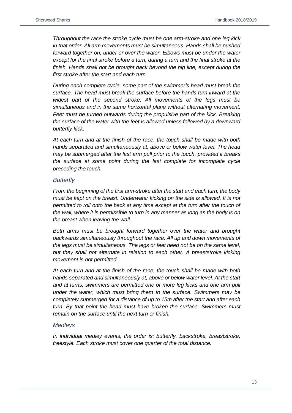*Throughout the race the stroke cycle must be one arm-stroke and one leg kick in that order. All arm movements must be simultaneous. Hands shall be pushed forward together on, under or over the water. Elbows must be under the water except for the final stroke before a turn, during a turn and the final stroke at the*  finish. Hands shall not be brought back beyond the hip line, except during the *first stroke after the start and each turn.*

*During each complete cycle, some part of the swimmer's head must break the surface. The head must break the surface before the hands turn inward at the widest part of the second stroke. All movements of the legs must be simultaneous and in the same horizontal plane without alternating movement.*  Feet must be turned outwards during the propulsive part of the kick. Breaking *the surface of the water with the feet is allowed unless followed by a downward butterfly kick.*

*At each turn and at the finish of the race, the touch shall be made with both hands separated and simultaneously at, above or below water level. The head may be submerged after the last arm pull prior to the touch, provided it breaks the surface at some point during the last complete for incomplete cycle preceding the touch.*

#### *Butterfly*

*From the beginning of the first arm-stroke after the start and each turn, the body must be kept on the breast. Underwater kicking on the side is allowed. It is not permitted to roll onto the back at any time except at the turn after the touch of the wall, where it is permissible to turn in any manner as long as the body is on the breast when leaving the wall.*

*Both arms must be brought forward together over the water and brought backwards simultaneously throughout the race. All up and down movements of the legs must be simultaneous. The legs or feet need not be on the same level, but they shall not alternate in relation to each other. A breaststroke kicking movement is not permitted.*

*At each turn and at the finish of the race, the touch shall be made with both hands separated and simultaneously at, above or below water level. At the start and at turns, swimmers are permitted one or more leg kicks and one arm pull under the water, which must bring them to the surface. Swimmers may be completely submerged for a distance of up to 15m after the start and after each turn. By that point the head must have broken the surface. Swimmers must remain on the surface until the next turn or finish.*

#### *Medleys*

*In individual medley events, the order is: butterfly, backstroke, breaststroke, freestyle. Each stroke must cover one quarter of the total distance.*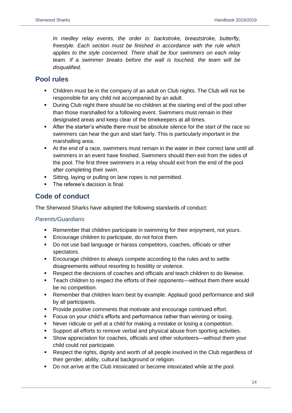*In medley relay events, the order is: backstroke, breaststroke, butterfly, freestyle. Each section must be finished in accordance with the rule which applies to the style concerned. There shall be four swimmers on each relay team. If a swimmer breaks before the wall is touched, the team will be disqualified.*

# <span id="page-13-0"></span>**Pool rules**

- Children must be in the company of an adult on Club nights. The Club will not be responsible for any child not accompanied by an adult.
- During Club night there should be no children at the starting end of the pool other than those marshalled for a following event. Swimmers must remain in their designated areas and keep clear of the timekeepers at all times.
- **EXECT** After the starter's whistle there must be absolute silence for the start of the race so swimmers can hear the gun and start fairly. This is particularly important in the marshalling area.
- At the end of a race, swimmers must remain in the water in their correct lane until all swimmers in an event have finished. Swimmers should then exit from the sides of the pool. The first three swimmers in a relay should exit from the end of the pool after completing their swim.
- Sitting, laying or pulling on lane ropes is not permitted.
- The referee's decision is final.

# <span id="page-13-1"></span>**Code of conduct**

The Sherwood Sharks have adopted the following standards of conduct:

## *Parents/Guardians*

- Remember that children participate in swimming for their enjoyment, not yours.
- Encourage children to participate, do not force them.
- Do not use bad language or harass competitors, coaches, officials or other spectators.
- **Encourage children to always compete according to the rules and to settle** disagreements without resorting to hostility or violence.
- Respect the decisions of coaches and officials and teach children to do likewise.
- Teach children to respect the efforts of their opponents—without them there would be no competition.
- Remember that children learn best by example. Applaud good performance and skill by all participants.
- Provide positive comments that motivate and encourage continued effort.
- Focus on your child's efforts and performance rather than winning or losing.
- Never ridicule or yell at a child for making a mistake or losing a competition.
- Support all efforts to remove verbal and physical abuse from sporting activities.
- Show appreciation for coaches, officials and other volunteers—without them your child could not participate.
- Respect the rights, dignity and worth of all people involved in the Club regardless of their gender, ability, cultural background or religion.
- Do not arrive at the Club intoxicated or become intoxicated while at the pool.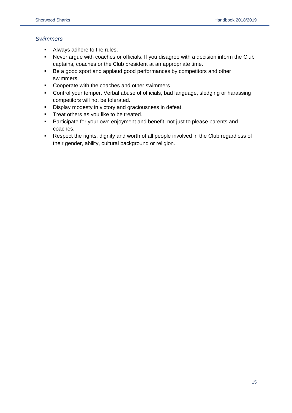## *Swimmers*

- Always adhere to the rules.
- Never argue with coaches or officials. If you disagree with a decision inform the Club captains, coaches or the Club president at an appropriate time.
- Be a good sport and applaud good performances by competitors and other swimmers.
- Cooperate with the coaches and other swimmers.
- Control your temper. Verbal abuse of officials, bad language, sledging or harassing competitors will not be tolerated.
- **•** Display modesty in victory and graciousness in defeat.
- **·** Treat others as you like to be treated.
- **•** Participate for your own enjoyment and benefit, not just to please parents and coaches.
- <span id="page-14-0"></span>■ Respect the rights, dignity and worth of all people involved in the Club regardless of their gender, ability, cultural background or religion.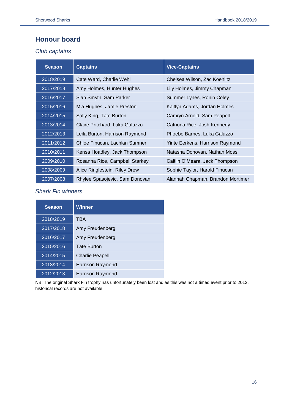# **Honour board**

## *Club captains*

| <b>Season</b> | <b>Captains</b>                | <b>Vice-Captains</b>              |
|---------------|--------------------------------|-----------------------------------|
| 2018/2019     | Cate Ward, Charlie Wehl        | Chelsea Wilson, Zac Koehlitz      |
| 2017/2018     | Amy Holmes, Hunter Hughes      | Lily Holmes, Jimmy Chapman        |
| 2016/2017     | Sian Smyth, Sam Parker         | Summer Lynes, Ronin Coley         |
| 2015/2016     | Mia Hughes, Jamie Preston      | Kaitlyn Adams, Jordan Holmes      |
| 2014/2015     | Sally King, Tate Burton        | Camryn Arnold, Sam Peapell        |
| 2013/2014     | Claire Pritchard, Luka Galuzzo | Catriona Rice, Josh Kennedy       |
| 2012/2013     | Leila Burton, Harrison Raymond | Phoebe Barnes, Luka Galuzzo       |
| 2011/2012     | Chloe Finucan, Lachlan Sumner  | Yinte Eerkens, Harrison Raymond   |
| 2010/2011     | Kensa Hoadley, Jack Thompson   | Natasha Donovan, Nathan Moss      |
| 2009/2010     | Rosanna Rice, Campbell Starkey | Caitlin O'Meara, Jack Thompson    |
| 2008/2009     | Alice Ringlestein, Riley Drew  | Sophie Taylor, Harold Finucan     |
| 2007/2008     | Rhylee Spasojevic, Sam Donovan | Alannah Chapman, Brandon Mortimer |

# *Shark Fin winners*

| <b>Season</b> | <b>Winner</b>           |
|---------------|-------------------------|
| 2018/2019     | TBA                     |
| 2017/2018     | Amy Freudenberg         |
| 2016/2017     | Amy Freudenberg         |
| 2015/2016     | <b>Tate Burton</b>      |
| 2014/2015     | <b>Charlie Peapell</b>  |
| 2013/2014     | <b>Harrison Raymond</b> |
| 2012/2013     | Harrison Raymond        |

NB: The original Shark Fin trophy has unfortunately been lost and as this was not a timed event prior to 2012, historical records are not available.